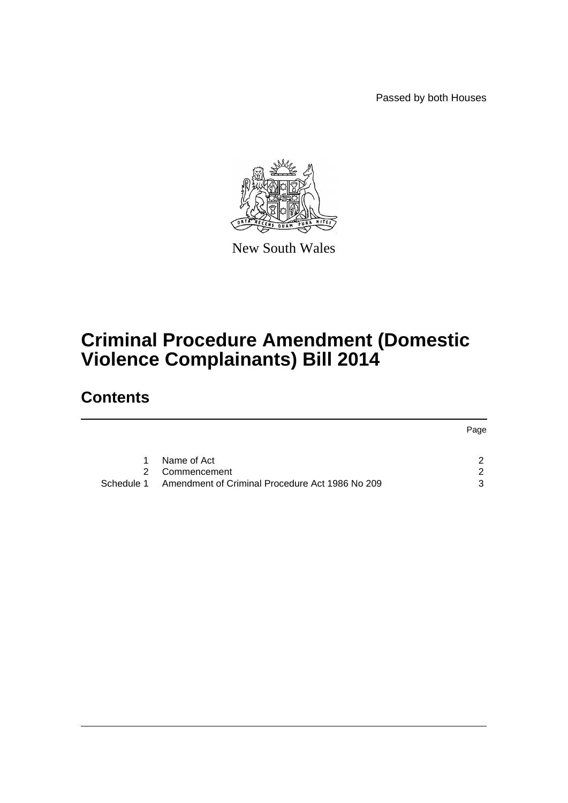Passed by both Houses



New South Wales

# **Criminal Procedure Amendment (Domestic Violence Complainants) Bill 2014**

# **Contents**

|   |                                                            | Page |
|---|------------------------------------------------------------|------|
|   |                                                            |      |
| 1 | Name of Act                                                | ົ    |
|   | 2 Commencement                                             | ົ    |
|   | Schedule 1 Amendment of Criminal Procedure Act 1986 No 209 | ર    |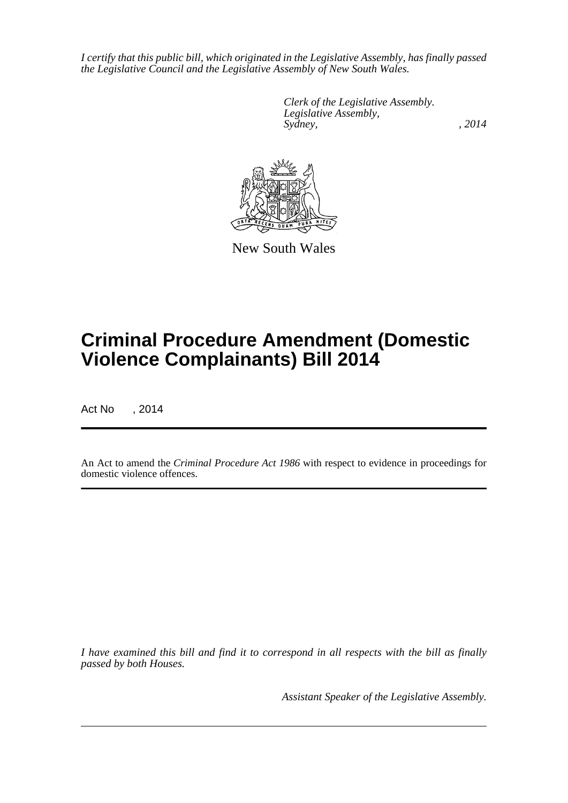*I certify that this public bill, which originated in the Legislative Assembly, has finally passed the Legislative Council and the Legislative Assembly of New South Wales.*

> *Clerk of the Legislative Assembly. Legislative Assembly, Sydney,* , 2014



New South Wales

# **Criminal Procedure Amendment (Domestic Violence Complainants) Bill 2014**

Act No , 2014

An Act to amend the *Criminal Procedure Act 1986* with respect to evidence in proceedings for domestic violence offences.

*I have examined this bill and find it to correspond in all respects with the bill as finally passed by both Houses.*

*Assistant Speaker of the Legislative Assembly.*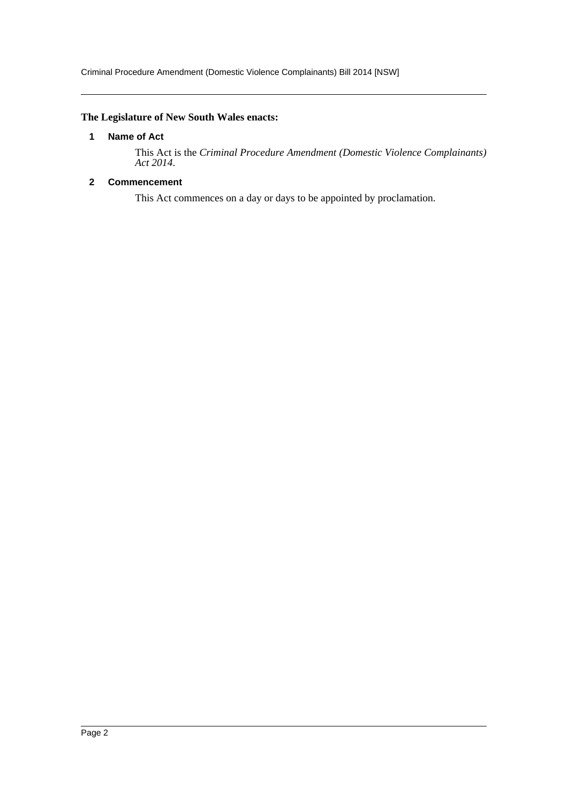Criminal Procedure Amendment (Domestic Violence Complainants) Bill 2014 [NSW]

# <span id="page-2-0"></span>**The Legislature of New South Wales enacts:**

#### **1 Name of Act**

This Act is the *Criminal Procedure Amendment (Domestic Violence Complainants) Act 2014*.

# <span id="page-2-1"></span>**2 Commencement**

This Act commences on a day or days to be appointed by proclamation.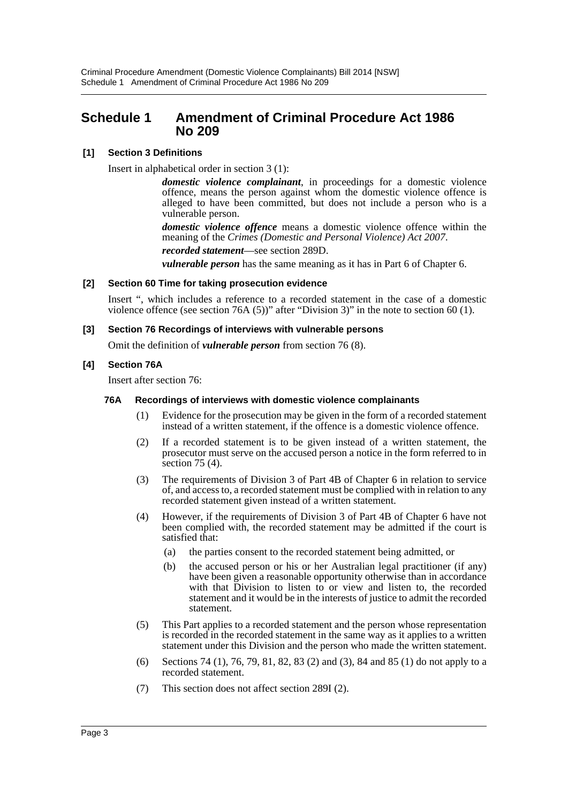# <span id="page-3-0"></span>**Schedule 1 Amendment of Criminal Procedure Act 1986 No 209**

### **[1] Section 3 Definitions**

Insert in alphabetical order in section 3 (1):

*domestic violence complainant*, in proceedings for a domestic violence offence, means the person against whom the domestic violence offence is alleged to have been committed, but does not include a person who is a vulnerable person.

*domestic violence offence* means a domestic violence offence within the meaning of the *Crimes (Domestic and Personal Violence) Act 2007*.

*recorded statement*—see section 289D.

*vulnerable person* has the same meaning as it has in Part 6 of Chapter 6.

#### **[2] Section 60 Time for taking prosecution evidence**

Insert ", which includes a reference to a recorded statement in the case of a domestic violence offence (see section 76A (5))" after "Division 3)" in the note to section 60 (1).

#### **[3] Section 76 Recordings of interviews with vulnerable persons**

Omit the definition of *vulnerable person* from section 76 (8).

#### **[4] Section 76A**

Insert after section 76:

#### **76A Recordings of interviews with domestic violence complainants**

- (1) Evidence for the prosecution may be given in the form of a recorded statement instead of a written statement, if the offence is a domestic violence offence.
- (2) If a recorded statement is to be given instead of a written statement, the prosecutor must serve on the accused person a notice in the form referred to in section 75 (4).
- (3) The requirements of Division 3 of Part 4B of Chapter 6 in relation to service of, and access to, a recorded statement must be complied with in relation to any recorded statement given instead of a written statement.
- (4) However, if the requirements of Division 3 of Part 4B of Chapter 6 have not been complied with, the recorded statement may be admitted if the court is satisfied that:
	- (a) the parties consent to the recorded statement being admitted, or
	- (b) the accused person or his or her Australian legal practitioner (if any) have been given a reasonable opportunity otherwise than in accordance with that Division to listen to or view and listen to, the recorded statement and it would be in the interests of justice to admit the recorded statement.
- (5) This Part applies to a recorded statement and the person whose representation is recorded in the recorded statement in the same way as it applies to a written statement under this Division and the person who made the written statement.
- (6) Sections 74 (1), 76, 79, 81, 82, 83 (2) and (3), 84 and 85 (1) do not apply to a recorded statement.
- (7) This section does not affect section 289I (2).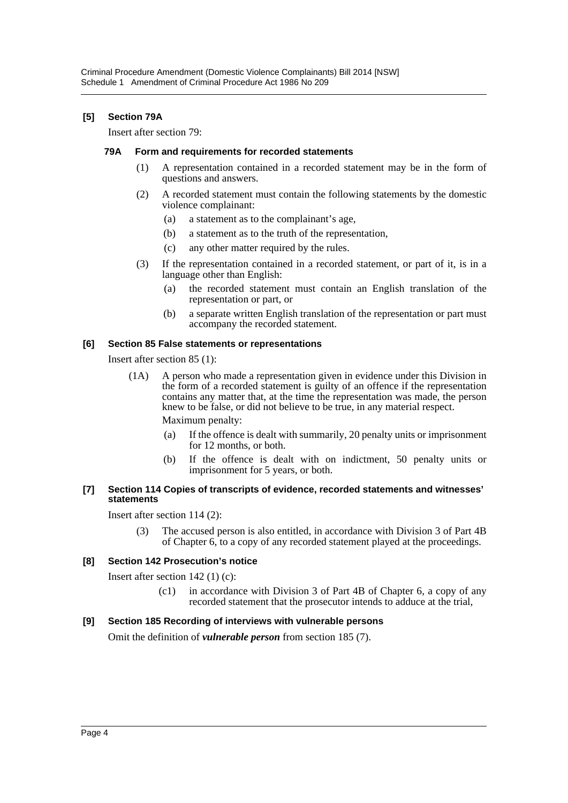### **[5] Section 79A**

Insert after section 79:

#### **79A Form and requirements for recorded statements**

- (1) A representation contained in a recorded statement may be in the form of questions and answers.
- (2) A recorded statement must contain the following statements by the domestic violence complainant:
	- (a) a statement as to the complainant's age,
	- (b) a statement as to the truth of the representation,
	- (c) any other matter required by the rules.
- (3) If the representation contained in a recorded statement, or part of it, is in a language other than English:
	- (a) the recorded statement must contain an English translation of the representation or part, or
	- (b) a separate written English translation of the representation or part must accompany the recorded statement.

#### **[6] Section 85 False statements or representations**

Insert after section 85 (1):

(1A) A person who made a representation given in evidence under this Division in the form of a recorded statement is guilty of an offence if the representation contains any matter that, at the time the representation was made, the person knew to be false, or did not believe to be true, in any material respect.

Maximum penalty:

- (a) If the offence is dealt with summarily, 20 penalty units or imprisonment for 12 months, or both.
- (b) If the offence is dealt with on indictment, 50 penalty units or imprisonment for 5 years, or both.

#### **[7] Section 114 Copies of transcripts of evidence, recorded statements and witnesses' statements**

Insert after section 114 (2):

(3) The accused person is also entitled, in accordance with Division 3 of Part 4B of Chapter 6, to a copy of any recorded statement played at the proceedings.

#### **[8] Section 142 Prosecution's notice**

Insert after section 142 (1) (c):

(c1) in accordance with Division 3 of Part 4B of Chapter 6, a copy of any recorded statement that the prosecutor intends to adduce at the trial,

#### **[9] Section 185 Recording of interviews with vulnerable persons**

Omit the definition of *vulnerable person* from section 185 (7).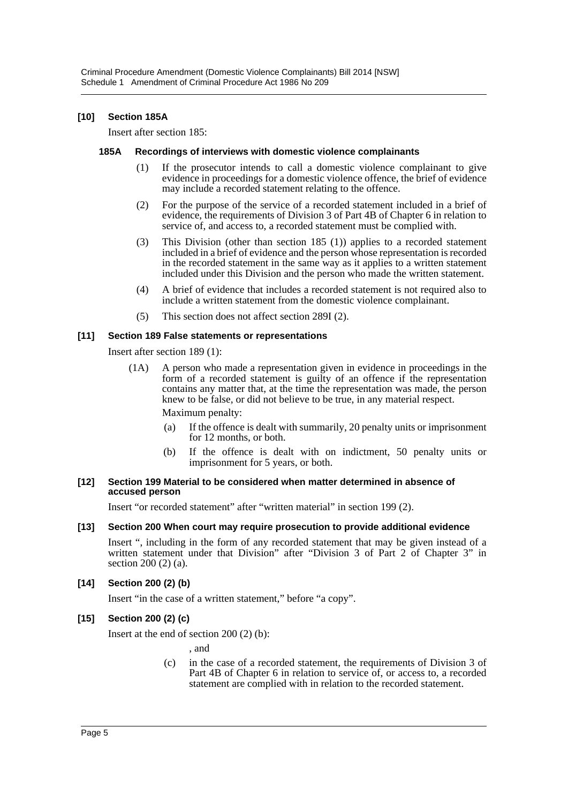#### **[10] Section 185A**

Insert after section 185:

#### **185A Recordings of interviews with domestic violence complainants**

- (1) If the prosecutor intends to call a domestic violence complainant to give evidence in proceedings for a domestic violence offence, the brief of evidence may include a recorded statement relating to the offence.
- (2) For the purpose of the service of a recorded statement included in a brief of evidence, the requirements of Division 3 of Part 4B of Chapter 6 in relation to service of, and access to, a recorded statement must be complied with.
- (3) This Division (other than section 185 (1)) applies to a recorded statement included in a brief of evidence and the person whose representation is recorded in the recorded statement in the same way as it applies to a written statement included under this Division and the person who made the written statement.
- (4) A brief of evidence that includes a recorded statement is not required also to include a written statement from the domestic violence complainant.
- (5) This section does not affect section 289I (2).

#### **[11] Section 189 False statements or representations**

Insert after section 189 (1):

- (1A) A person who made a representation given in evidence in proceedings in the form of a recorded statement is guilty of an offence if the representation contains any matter that, at the time the representation was made, the person knew to be false, or did not believe to be true, in any material respect. Maximum penalty:
	- (a) If the offence is dealt with summarily, 20 penalty units or imprisonment for 12 months, or both.
	- (b) If the offence is dealt with on indictment, 50 penalty units or imprisonment for 5 years, or both.

#### **[12] Section 199 Material to be considered when matter determined in absence of accused person**

Insert "or recorded statement" after "written material" in section 199 (2).

#### **[13] Section 200 When court may require prosecution to provide additional evidence**

Insert ", including in the form of any recorded statement that may be given instead of a written statement under that Division" after "Division 3 of Part 2 of Chapter 3" in section 200 (2) (a).

#### **[14] Section 200 (2) (b)**

Insert "in the case of a written statement," before "a copy".

#### **[15] Section 200 (2) (c)**

Insert at the end of section 200 (2) (b):

, and

(c) in the case of a recorded statement, the requirements of Division 3 of Part 4B of Chapter 6 in relation to service of, or access to, a recorded statement are complied with in relation to the recorded statement.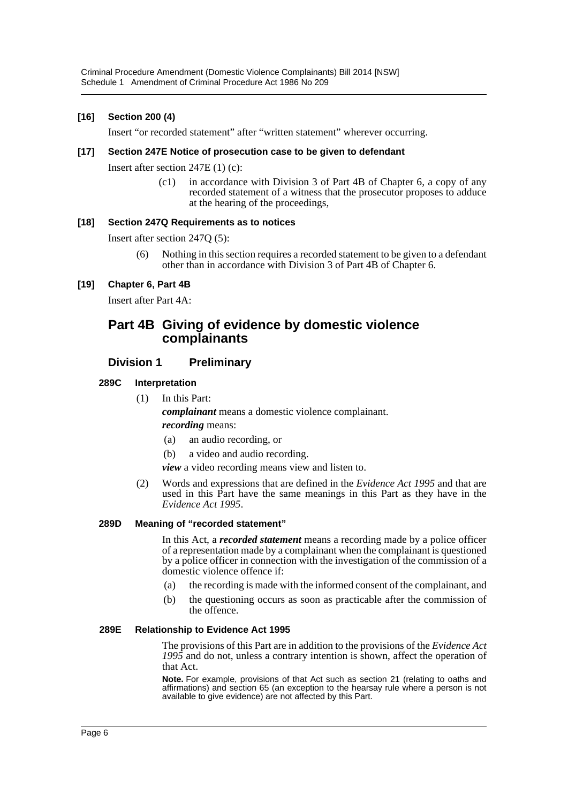#### **[16] Section 200 (4)**

Insert "or recorded statement" after "written statement" wherever occurring.

#### **[17] Section 247E Notice of prosecution case to be given to defendant**

Insert after section 247E (1) (c):

(c1) in accordance with Division 3 of Part 4B of Chapter 6, a copy of any recorded statement of a witness that the prosecutor proposes to adduce at the hearing of the proceedings,

#### **[18] Section 247Q Requirements as to notices**

Insert after section 247Q (5):

(6) Nothing in this section requires a recorded statement to be given to a defendant other than in accordance with Division 3 of Part 4B of Chapter 6.

#### **[19] Chapter 6, Part 4B**

Insert after Part 4A:

# **Part 4B Giving of evidence by domestic violence complainants**

# **Division 1 Preliminary**

#### **289C Interpretation**

(1) In this Part:

*complainant* means a domestic violence complainant.

#### *recording* means:

- (a) an audio recording, or
- (b) a video and audio recording.
- *view* a video recording means view and listen to.
- (2) Words and expressions that are defined in the *Evidence Act 1995* and that are used in this Part have the same meanings in this Part as they have in the *Evidence Act 1995*.

#### **289D Meaning of "recorded statement"**

In this Act, a *recorded statement* means a recording made by a police officer of a representation made by a complainant when the complainant is questioned by a police officer in connection with the investigation of the commission of a domestic violence offence if:

- (a) the recording is made with the informed consent of the complainant, and
- (b) the questioning occurs as soon as practicable after the commission of the offence.

#### **289E Relationship to Evidence Act 1995**

The provisions of this Part are in addition to the provisions of the *Evidence Act 1995* and do not, unless a contrary intention is shown, affect the operation of that Act.

**Note.** For example, provisions of that Act such as section 21 (relating to oaths and affirmations) and section 65 (an exception to the hearsay rule where a person is not available to give evidence) are not affected by this Part.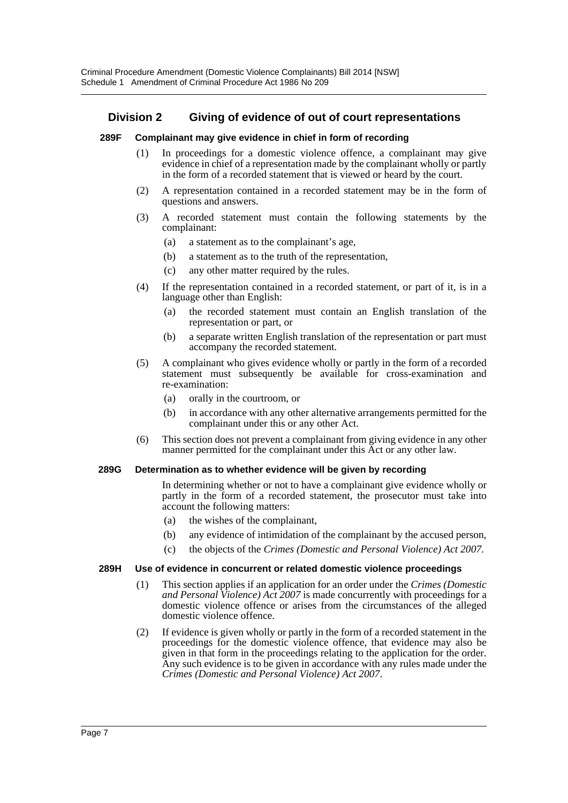# **Division 2 Giving of evidence of out of court representations**

#### **289F Complainant may give evidence in chief in form of recording**

- (1) In proceedings for a domestic violence offence, a complainant may give evidence in chief of a representation made by the complainant wholly or partly in the form of a recorded statement that is viewed or heard by the court.
- (2) A representation contained in a recorded statement may be in the form of questions and answers.
- (3) A recorded statement must contain the following statements by the complainant:
	- (a) a statement as to the complainant's age,
	- (b) a statement as to the truth of the representation,
	- (c) any other matter required by the rules.
- (4) If the representation contained in a recorded statement, or part of it, is in a language other than English:
	- (a) the recorded statement must contain an English translation of the representation or part, or
	- (b) a separate written English translation of the representation or part must accompany the recorded statement.
- (5) A complainant who gives evidence wholly or partly in the form of a recorded statement must subsequently be available for cross-examination and re-examination:
	- (a) orally in the courtroom, or
	- (b) in accordance with any other alternative arrangements permitted for the complainant under this or any other Act.
- (6) This section does not prevent a complainant from giving evidence in any other manner permitted for the complainant under this Act or any other law.

#### **289G Determination as to whether evidence will be given by recording**

In determining whether or not to have a complainant give evidence wholly or partly in the form of a recorded statement, the prosecutor must take into account the following matters:

- (a) the wishes of the complainant,
- (b) any evidence of intimidation of the complainant by the accused person,
- (c) the objects of the *Crimes (Domestic and Personal Violence) Act 2007*.

#### **289H Use of evidence in concurrent or related domestic violence proceedings**

- (1) This section applies if an application for an order under the *Crimes (Domestic and Personal Violence) Act 2007* is made concurrently with proceedings for a domestic violence offence or arises from the circumstances of the alleged domestic violence offence.
- (2) If evidence is given wholly or partly in the form of a recorded statement in the proceedings for the domestic violence offence, that evidence may also be given in that form in the proceedings relating to the application for the order. Any such evidence is to be given in accordance with any rules made under the *Crimes (Domestic and Personal Violence) Act 2007*.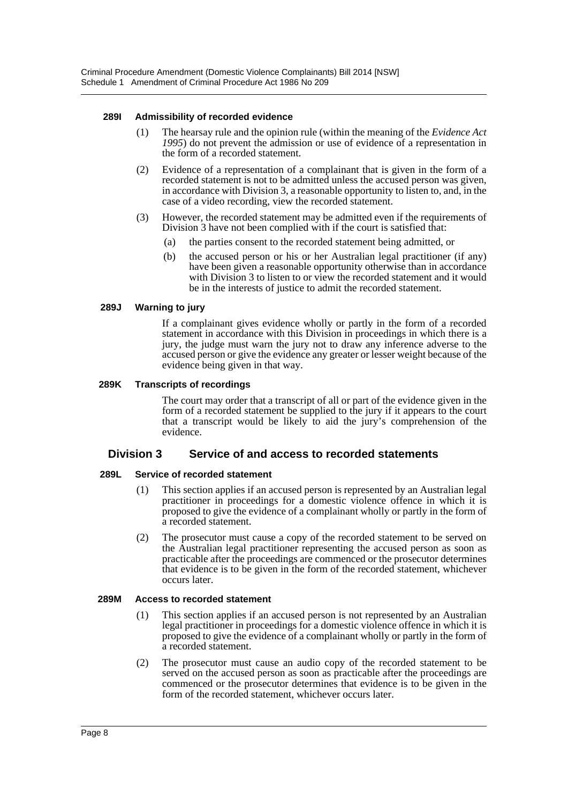#### **289I Admissibility of recorded evidence**

- (1) The hearsay rule and the opinion rule (within the meaning of the *Evidence Act 1995*) do not prevent the admission or use of evidence of a representation in the form of a recorded statement.
- (2) Evidence of a representation of a complainant that is given in the form of a recorded statement is not to be admitted unless the accused person was given, in accordance with Division 3, a reasonable opportunity to listen to, and, in the case of a video recording, view the recorded statement.
- (3) However, the recorded statement may be admitted even if the requirements of Division 3 have not been complied with if the court is satisfied that:
	- (a) the parties consent to the recorded statement being admitted, or
	- (b) the accused person or his or her Australian legal practitioner (if any) have been given a reasonable opportunity otherwise than in accordance with Division 3 to listen to or view the recorded statement and it would be in the interests of justice to admit the recorded statement.

#### **289J Warning to jury**

If a complainant gives evidence wholly or partly in the form of a recorded statement in accordance with this Division in proceedings in which there is a jury, the judge must warn the jury not to draw any inference adverse to the accused person or give the evidence any greater or lesser weight because of the evidence being given in that way.

#### **289K Transcripts of recordings**

The court may order that a transcript of all or part of the evidence given in the form of a recorded statement be supplied to the jury if it appears to the court that a transcript would be likely to aid the jury's comprehension of the evidence.

# **Division 3 Service of and access to recorded statements**

#### **289L Service of recorded statement**

- (1) This section applies if an accused person is represented by an Australian legal practitioner in proceedings for a domestic violence offence in which it is proposed to give the evidence of a complainant wholly or partly in the form of a recorded statement.
- (2) The prosecutor must cause a copy of the recorded statement to be served on the Australian legal practitioner representing the accused person as soon as practicable after the proceedings are commenced or the prosecutor determines that evidence is to be given in the form of the recorded statement, whichever occurs later.

#### **289M Access to recorded statement**

- (1) This section applies if an accused person is not represented by an Australian legal practitioner in proceedings for a domestic violence offence in which it is proposed to give the evidence of a complainant wholly or partly in the form of a recorded statement.
- (2) The prosecutor must cause an audio copy of the recorded statement to be served on the accused person as soon as practicable after the proceedings are commenced or the prosecutor determines that evidence is to be given in the form of the recorded statement, whichever occurs later.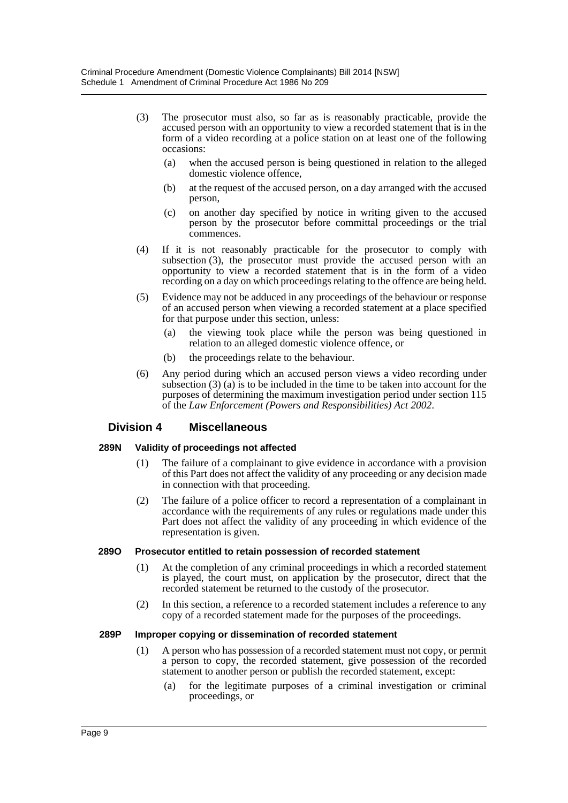- (3) The prosecutor must also, so far as is reasonably practicable, provide the accused person with an opportunity to view a recorded statement that is in the form of a video recording at a police station on at least one of the following occasions:
	- (a) when the accused person is being questioned in relation to the alleged domestic violence offence.
	- (b) at the request of the accused person, on a day arranged with the accused person,
	- (c) on another day specified by notice in writing given to the accused person by the prosecutor before committal proceedings or the trial commences.
- (4) If it is not reasonably practicable for the prosecutor to comply with subsection (3), the prosecutor must provide the accused person with an opportunity to view a recorded statement that is in the form of a video recording on a day on which proceedings relating to the offence are being held.
- (5) Evidence may not be adduced in any proceedings of the behaviour or response of an accused person when viewing a recorded statement at a place specified for that purpose under this section, unless:
	- (a) the viewing took place while the person was being questioned in relation to an alleged domestic violence offence, or
	- (b) the proceedings relate to the behaviour.
- (6) Any period during which an accused person views a video recording under subsection (3) (a) is to be included in the time to be taken into account for the purposes of determining the maximum investigation period under section 115 of the *Law Enforcement (Powers and Responsibilities) Act 2002*.

# **Division 4 Miscellaneous**

#### **289N Validity of proceedings not affected**

- (1) The failure of a complainant to give evidence in accordance with a provision of this Part does not affect the validity of any proceeding or any decision made in connection with that proceeding.
- (2) The failure of a police officer to record a representation of a complainant in accordance with the requirements of any rules or regulations made under this Part does not affect the validity of any proceeding in which evidence of the representation is given.

#### **289O Prosecutor entitled to retain possession of recorded statement**

- (1) At the completion of any criminal proceedings in which a recorded statement is played, the court must, on application by the prosecutor, direct that the recorded statement be returned to the custody of the prosecutor.
- (2) In this section, a reference to a recorded statement includes a reference to any copy of a recorded statement made for the purposes of the proceedings.

#### **289P Improper copying or dissemination of recorded statement**

- (1) A person who has possession of a recorded statement must not copy, or permit a person to copy, the recorded statement, give possession of the recorded statement to another person or publish the recorded statement, except:
	- (a) for the legitimate purposes of a criminal investigation or criminal proceedings, or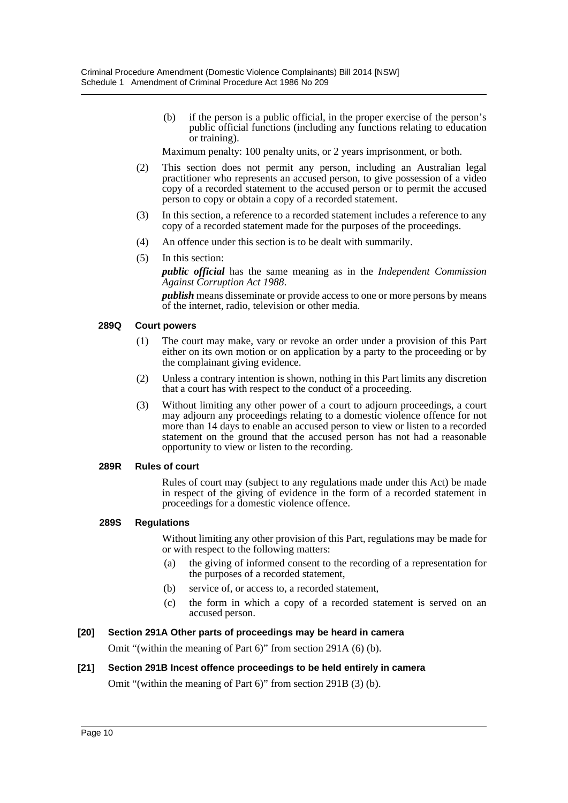(b) if the person is a public official, in the proper exercise of the person's public official functions (including any functions relating to education or training).

Maximum penalty: 100 penalty units, or 2 years imprisonment, or both.

- (2) This section does not permit any person, including an Australian legal practitioner who represents an accused person, to give possession of a video copy of a recorded statement to the accused person or to permit the accused person to copy or obtain a copy of a recorded statement.
- (3) In this section, a reference to a recorded statement includes a reference to any copy of a recorded statement made for the purposes of the proceedings.
- (4) An offence under this section is to be dealt with summarily.
- (5) In this section:

*public official* has the same meaning as in the *Independent Commission Against Corruption Act 1988*.

*publish* means disseminate or provide access to one or more persons by means of the internet, radio, television or other media.

#### **289Q Court powers**

- (1) The court may make, vary or revoke an order under a provision of this Part either on its own motion or on application by a party to the proceeding or by the complainant giving evidence.
- (2) Unless a contrary intention is shown, nothing in this Part limits any discretion that a court has with respect to the conduct of a proceeding.
- (3) Without limiting any other power of a court to adjourn proceedings, a court may adjourn any proceedings relating to a domestic violence offence for not more than 14 days to enable an accused person to view or listen to a recorded statement on the ground that the accused person has not had a reasonable opportunity to view or listen to the recording.

#### **289R Rules of court**

Rules of court may (subject to any regulations made under this Act) be made in respect of the giving of evidence in the form of a recorded statement in proceedings for a domestic violence offence.

#### **289S Regulations**

Without limiting any other provision of this Part, regulations may be made for or with respect to the following matters:

- (a) the giving of informed consent to the recording of a representation for the purposes of a recorded statement,
- (b) service of, or access to, a recorded statement,
- (c) the form in which a copy of a recorded statement is served on an accused person.

#### **[20] Section 291A Other parts of proceedings may be heard in camera**

Omit "(within the meaning of Part 6)" from section 291A (6) (b).

#### **[21] Section 291B Incest offence proceedings to be held entirely in camera**

Omit "(within the meaning of Part 6)" from section 291B (3) (b).